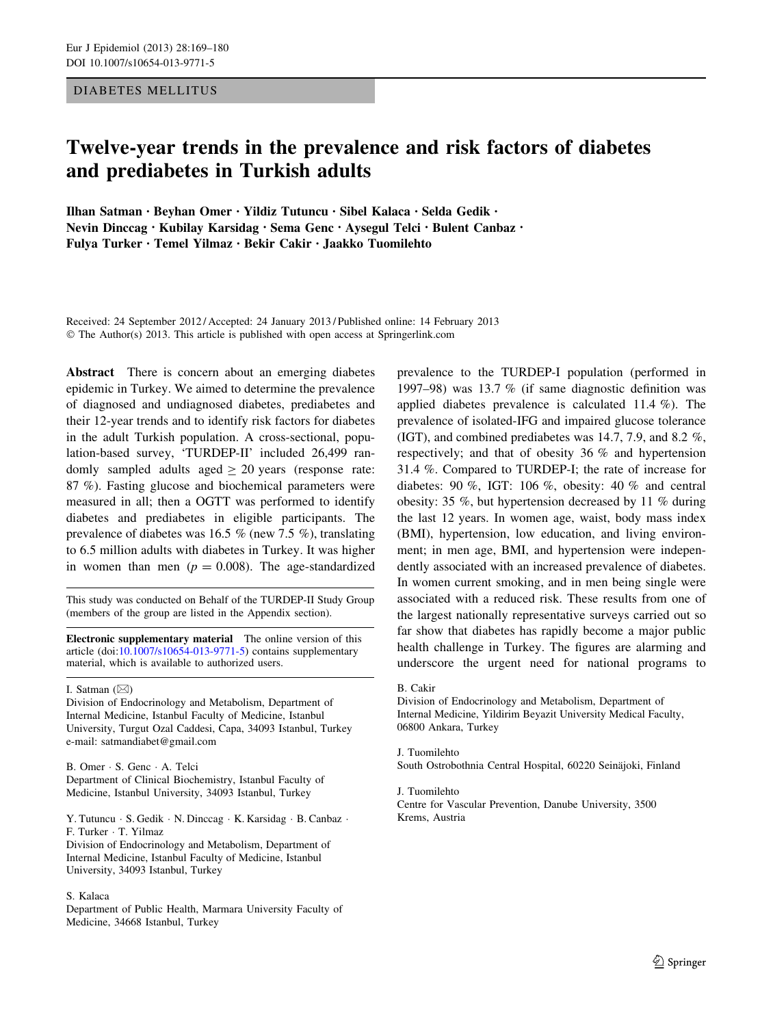## DIABETES MELLITUS

# Twelve-year trends in the prevalence and risk factors of diabetes and prediabetes in Turkish adults

Ilhan Satman • Beyhan Omer • Yildiz Tutuncu • Sibel Kalaca • Selda Gedik • Nevin Dinccag • Kubilay Karsidag • Sema Genc • Aysegul Telci • Bulent Canbaz • Fulya Turker • Temel Yilmaz • Bekir Cakir • Jaakko Tuomilehto

Received: 24 September 2012 / Accepted: 24 January 2013 / Published online: 14 February 2013 © The Author(s) 2013. This article is published with open access at Springerlink.com

Abstract There is concern about an emerging diabetes epidemic in Turkey. We aimed to determine the prevalence of diagnosed and undiagnosed diabetes, prediabetes and their 12-year trends and to identify risk factors for diabetes in the adult Turkish population. A cross-sectional, population-based survey, 'TURDEP-II' included 26,499 randomly sampled adults aged  $\geq$  20 years (response rate: 87 %). Fasting glucose and biochemical parameters were measured in all; then a OGTT was performed to identify diabetes and prediabetes in eligible participants. The prevalence of diabetes was 16.5 % (new 7.5 %), translating to 6.5 million adults with diabetes in Turkey. It was higher in women than men ( $p = 0.008$ ). The age-standardized

This study was conducted on Behalf of the TURDEP-II Study Group (members of the group are listed in the Appendix section).

Electronic supplementary material The online version of this article (doi:[10.1007/s10654-013-9771-5\)](http://dx.doi.org/10.1007/s10654-013-9771-5) contains supplementary material, which is available to authorized users.

#### I. Satman  $(\boxtimes)$

Division of Endocrinology and Metabolism, Department of Internal Medicine, Istanbul Faculty of Medicine, Istanbul University, Turgut Ozal Caddesi, Capa, 34093 Istanbul, Turkey e-mail: satmandiabet@gmail.com

B. Omer - S. Genc - A. Telci

Department of Clinical Biochemistry, Istanbul Faculty of Medicine, Istanbul University, 34093 Istanbul, Turkey

Y. Tutuncu · S. Gedik · N. Dinccag · K. Karsidag · B. Canbaz · F. Turker - T. Yilmaz

Division of Endocrinology and Metabolism, Department of Internal Medicine, Istanbul Faculty of Medicine, Istanbul University, 34093 Istanbul, Turkey

## S. Kalaca

Department of Public Health, Marmara University Faculty of Medicine, 34668 Istanbul, Turkey

prevalence to the TURDEP-I population (performed in 1997–98) was 13.7 % (if same diagnostic definition was applied diabetes prevalence is calculated 11.4 %). The prevalence of isolated-IFG and impaired glucose tolerance (IGT), and combined prediabetes was 14.7, 7.9, and 8.2 %, respectively; and that of obesity 36 % and hypertension 31.4 %. Compared to TURDEP-I; the rate of increase for diabetes: 90 %, IGT: 106 %, obesity: 40 % and central obesity: 35 %, but hypertension decreased by 11 % during the last 12 years. In women age, waist, body mass index (BMI), hypertension, low education, and living environment; in men age, BMI, and hypertension were independently associated with an increased prevalence of diabetes. In women current smoking, and in men being single were associated with a reduced risk. These results from one of the largest nationally representative surveys carried out so far show that diabetes has rapidly become a major public health challenge in Turkey. The figures are alarming and underscore the urgent need for national programs to

#### B. Cakir

Division of Endocrinology and Metabolism, Department of Internal Medicine, Yildirim Beyazit University Medical Faculty, 06800 Ankara, Turkey

J. Tuomilehto South Ostrobothnia Central Hospital, 60220 Seinäjoki, Finland

J. Tuomilehto Centre for Vascular Prevention, Danube University, 3500 Krems, Austria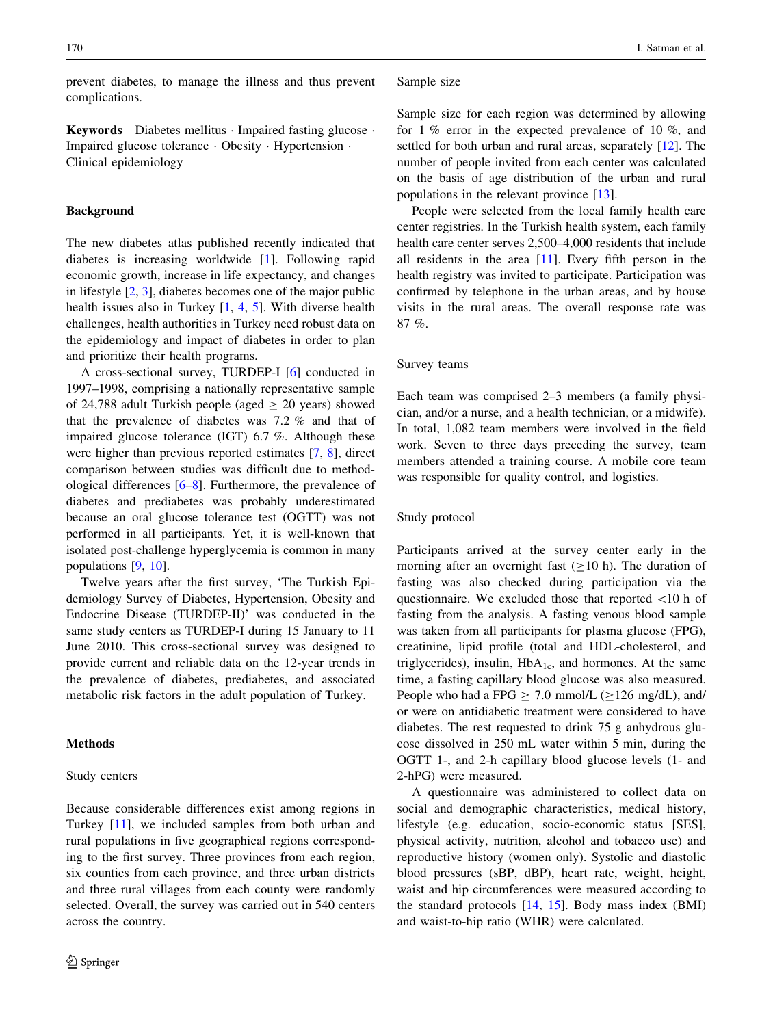prevent diabetes, to manage the illness and thus prevent complications.

Keywords Diabetes mellitus - Impaired fasting glucose - Impaired glucose tolerance · Obesity · Hypertension · Clinical epidemiology

## Background

The new diabetes atlas published recently indicated that diabetes is increasing worldwide [[1\]](#page-9-0). Following rapid economic growth, increase in life expectancy, and changes in lifestyle [\[2](#page-9-0), [3](#page-9-0)], diabetes becomes one of the major public health issues also in Turkey [[1,](#page-9-0) [4,](#page-9-0) [5\]](#page-9-0). With diverse health challenges, health authorities in Turkey need robust data on the epidemiology and impact of diabetes in order to plan and prioritize their health programs.

A cross-sectional survey, TURDEP-I [[6\]](#page-9-0) conducted in 1997–1998, comprising a nationally representative sample of 24,788 adult Turkish people (aged  $\geq$  20 years) showed that the prevalence of diabetes was 7.2 % and that of impaired glucose tolerance (IGT) 6.7 %. Although these were higher than previous reported estimates [\[7](#page-9-0), [8](#page-9-0)], direct comparison between studies was difficult due to methodological differences [\[6–8](#page-9-0)]. Furthermore, the prevalence of diabetes and prediabetes was probably underestimated because an oral glucose tolerance test (OGTT) was not performed in all participants. Yet, it is well-known that isolated post-challenge hyperglycemia is common in many populations [\[9](#page-9-0), [10](#page-9-0)].

Twelve years after the first survey, 'The Turkish Epidemiology Survey of Diabetes, Hypertension, Obesity and Endocrine Disease (TURDEP-II)' was conducted in the same study centers as TURDEP-I during 15 January to 11 June 2010. This cross-sectional survey was designed to provide current and reliable data on the 12-year trends in the prevalence of diabetes, prediabetes, and associated metabolic risk factors in the adult population of Turkey.

## Methods

#### Study centers

Because considerable differences exist among regions in Turkey [[11\]](#page-9-0), we included samples from both urban and rural populations in five geographical regions corresponding to the first survey. Three provinces from each region, six counties from each province, and three urban districts and three rural villages from each county were randomly selected. Overall, the survey was carried out in 540 centers across the country.

#### Sample size

Sample size for each region was determined by allowing for 1 % error in the expected prevalence of 10 %, and settled for both urban and rural areas, separately [[12\]](#page-9-0). The number of people invited from each center was calculated on the basis of age distribution of the urban and rural populations in the relevant province [\[13](#page-10-0)].

People were selected from the local family health care center registries. In the Turkish health system, each family health care center serves 2,500–4,000 residents that include all residents in the area [[11\]](#page-9-0). Every fifth person in the health registry was invited to participate. Participation was confirmed by telephone in the urban areas, and by house visits in the rural areas. The overall response rate was 87 %.

#### Survey teams

Each team was comprised 2–3 members (a family physician, and/or a nurse, and a health technician, or a midwife). In total, 1,082 team members were involved in the field work. Seven to three days preceding the survey, team members attended a training course. A mobile core team was responsible for quality control, and logistics.

#### Study protocol

Participants arrived at the survey center early in the morning after an overnight fast  $(\geq 10 \text{ h})$ . The duration of fasting was also checked during participation via the questionnaire. We excluded those that reported  $\langle 10 \text{ h of} \rangle$ fasting from the analysis. A fasting venous blood sample was taken from all participants for plasma glucose (FPG), creatinine, lipid profile (total and HDL-cholesterol, and triglycerides), insulin,  $HbA_{1c}$ , and hormones. At the same time, a fasting capillary blood glucose was also measured. People who had a FPG  $\geq$  7.0 mmol/L ( $\geq$ 126 mg/dL), and/ or were on antidiabetic treatment were considered to have diabetes. The rest requested to drink 75 g anhydrous glucose dissolved in 250 mL water within 5 min, during the OGTT 1-, and 2-h capillary blood glucose levels (1- and 2-hPG) were measured.

A questionnaire was administered to collect data on social and demographic characteristics, medical history, lifestyle (e.g. education, socio-economic status [SES], physical activity, nutrition, alcohol and tobacco use) and reproductive history (women only). Systolic and diastolic blood pressures (sBP, dBP), heart rate, weight, height, waist and hip circumferences were measured according to the standard protocols [[14,](#page-10-0) [15](#page-10-0)]. Body mass index (BMI) and waist-to-hip ratio (WHR) were calculated.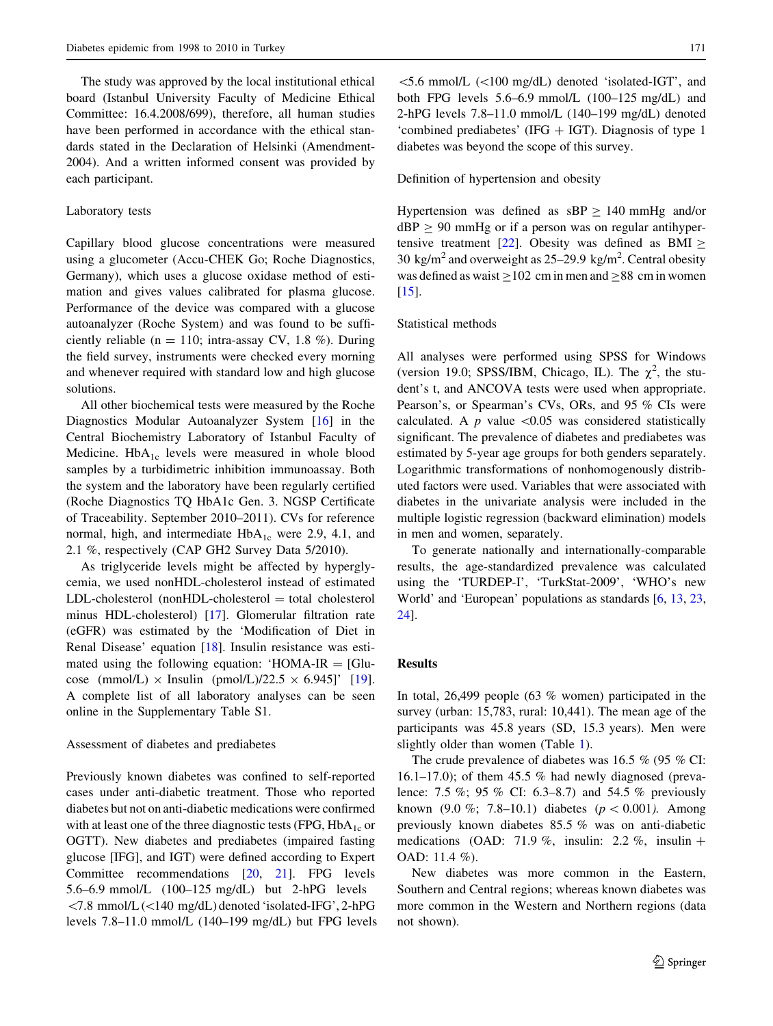The study was approved by the local institutional ethical board (Istanbul University Faculty of Medicine Ethical Committee: 16.4.2008/699), therefore, all human studies have been performed in accordance with the ethical standards stated in the Declaration of Helsinki (Amendment-2004). And a written informed consent was provided by each participant.

#### Laboratory tests

Capillary blood glucose concentrations were measured using a glucometer (Accu-CHEK Go; Roche Diagnostics, Germany), which uses a glucose oxidase method of estimation and gives values calibrated for plasma glucose. Performance of the device was compared with a glucose autoanalyzer (Roche System) and was found to be sufficiently reliable ( $n = 110$ ; intra-assay CV, 1.8 %). During the field survey, instruments were checked every morning and whenever required with standard low and high glucose solutions.

All other biochemical tests were measured by the Roche Diagnostics Modular Autoanalyzer System [[16\]](#page-10-0) in the Central Biochemistry Laboratory of Istanbul Faculty of Medicine.  $HbA_{1c}$  levels were measured in whole blood samples by a turbidimetric inhibition immunoassay. Both the system and the laboratory have been regularly certified (Roche Diagnostics TQ HbA1c Gen. 3. NGSP Certificate of Traceability. September 2010–2011). CVs for reference normal, high, and intermediate  $HbA_{1c}$  were 2.9, 4.1, and 2.1 %, respectively (CAP GH2 Survey Data 5/2010).

As triglyceride levels might be affected by hyperglycemia, we used nonHDL-cholesterol instead of estimated  $LDL$ -cholesterol (non $HDL$ -cholesterol  $=$  total cholesterol minus HDL-cholesterol) [[17\]](#page-10-0). Glomerular filtration rate (eGFR) was estimated by the 'Modification of Diet in Renal Disease' equation [\[18](#page-10-0)]. Insulin resistance was estimated using the following equation: 'HOMA-IR  $=$  [Glucose (mmol/L)  $\times$  Insulin (pmol/L)/22.5  $\times$  6.945]' [\[19](#page-10-0)]. A complete list of all laboratory analyses can be seen online in the Supplementary Table S1.

#### Assessment of diabetes and prediabetes

Previously known diabetes was confined to self-reported cases under anti-diabetic treatment. Those who reported diabetes but not on anti-diabetic medications were confirmed with at least one of the three diagnostic tests (FPG,  $HbA_{1c}$  or OGTT). New diabetes and prediabetes (impaired fasting glucose [IFG], and IGT) were defined according to Expert Committee recommendations [[20,](#page-10-0) [21](#page-10-0)]. FPG levels 5.6–6.9 mmol/L (100–125 mg/dL) but 2-hPG levels  $\langle 7.8 \text{ mmol/L} (\langle 140 \text{ mg/dL}) \rangle$  denoted 'isolated-IFG', 2-hPG levels 7.8–11.0 mmol/L (140–199 mg/dL) but FPG levels

 $\leq$ 5.6 mmol/L ( $\leq$ 100 mg/dL) denoted 'isolated-IGT', and both FPG levels 5.6–6.9 mmol/L (100–125 mg/dL) and 2-hPG levels 7.8–11.0 mmol/L (140–199 mg/dL) denoted 'combined prediabetes' (IFG  $+$  IGT). Diagnosis of type 1 diabetes was beyond the scope of this survey.

#### Definition of hypertension and obesity

Hypertension was defined as  $sBP \ge 140$  mmHg and/or  $dBP \ge 90$  mmHg or if a person was on regular antihypertensive treatment  $[22]$  $[22]$ . Obesity was defined as BMI > 30 kg/m<sup>2</sup> and overweight as  $25-29.9$  kg/m<sup>2</sup>. Central obesity was defined as waist  $\geq 102$  cm in men and  $\geq 88$  cm in women  $[15]$  $[15]$ .

## Statistical methods

All analyses were performed using SPSS for Windows (version 19.0; SPSS/IBM, Chicago, IL). The  $\chi^2$ , the student's t, and ANCOVA tests were used when appropriate. Pearson's, or Spearman's CVs, ORs, and 95 % CIs were calculated. A  $p$  value  $\langle 0.05 \rangle$  was considered statistically significant. The prevalence of diabetes and prediabetes was estimated by 5-year age groups for both genders separately. Logarithmic transformations of nonhomogenously distributed factors were used. Variables that were associated with diabetes in the univariate analysis were included in the multiple logistic regression (backward elimination) models in men and women, separately.

To generate nationally and internationally-comparable results, the age-standardized prevalence was calculated using the 'TURDEP-I', 'TurkStat-2009', 'WHO's new World' and 'European' populations as standards [\[6](#page-9-0), [13,](#page-10-0) [23,](#page-10-0) [24](#page-10-0)].

## Results

In total, 26,499 people (63 % women) participated in the survey (urban: 15,783, rural: 10,441). The mean age of the participants was 45.8 years (SD, 15.3 years). Men were slightly older than women (Table [1](#page-3-0)).

The crude prevalence of diabetes was 16.5 % (95 % CI: 16.1–17.0); of them 45.5 % had newly diagnosed (prevalence: 7.5 %; 95 % CI: 6.3–8.7) and 54.5 % previously known (9.0 %; 7.8–10.1) diabetes ( $p < 0.001$ ). Among previously known diabetes 85.5 % was on anti-diabetic medications (OAD: 71.9 %, insulin: 2.2 %, insulin + OAD: 11.4 %).

New diabetes was more common in the Eastern, Southern and Central regions; whereas known diabetes was more common in the Western and Northern regions (data not shown).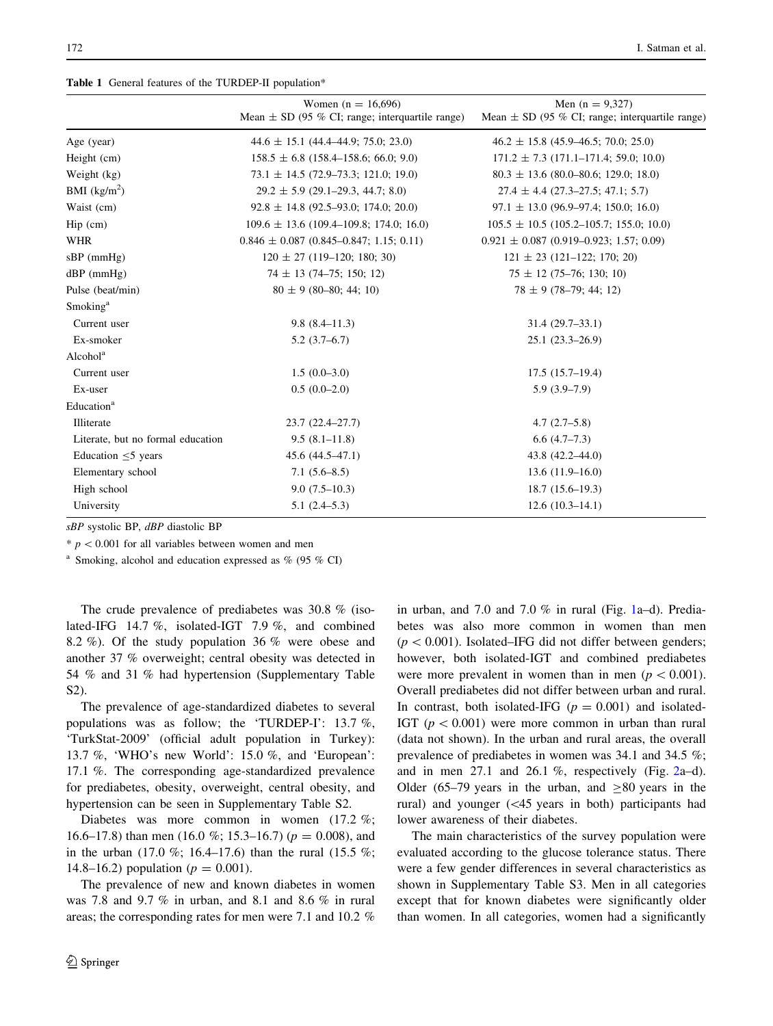|                                   | Women $(n = 16,696)$<br>Mean $\pm$ SD (95 % CI; range; interquartile range) | Men $(n = 9,327)$<br>Mean $\pm$ SD (95 % CI; range; interquartile range) |
|-----------------------------------|-----------------------------------------------------------------------------|--------------------------------------------------------------------------|
| Age (year)                        | $44.6 \pm 15.1$ (44.4–44.9; 75.0; 23.0)                                     | $46.2 \pm 15.8$ (45.9–46.5; 70.0; 25.0)                                  |
| Height (cm)                       | $158.5 \pm 6.8$ (158.4–158.6; 66.0; 9.0)                                    | $171.2 \pm 7.3$ (171.1–171.4; 59.0; 10.0)                                |
| Weight (kg)                       | $73.1 \pm 14.5$ (72.9–73.3; 121.0; 19.0)                                    | $80.3 \pm 13.6$ (80.0–80.6; 129.0; 18.0)                                 |
| BMI $(kg/m2)$                     | $29.2 \pm 5.9$ (29.1–29.3, 44.7; 8.0)                                       | $27.4 \pm 4.4$ (27.3–27.5; 47.1; 5.7)                                    |
| Waist (cm)                        | $92.8 \pm 14.8$ (92.5–93.0; 174.0; 20.0)                                    | $97.1 \pm 13.0$ (96.9–97.4; 150.0; 16.0)                                 |
| $Hip$ (cm)                        | $109.6 \pm 13.6$ (109.4–109.8; 174.0; 16.0)                                 | $105.5 \pm 10.5$ (105.2–105.7; 155.0; 10.0)                              |
| <b>WHR</b>                        | $0.846 \pm 0.087$ (0.845-0.847; 1.15; 0.11)                                 | $0.921 \pm 0.087$ (0.919-0.923; 1.57; 0.09)                              |
| $sBP$ (mmHg)                      | $120 \pm 27$ (119-120; 180; 30)                                             | $121 \pm 23$ (121-122; 170; 20)                                          |
| $dBP$ (mmHg)                      | $74 \pm 13$ (74-75; 150; 12)                                                | $75 \pm 12$ (75-76; 130; 10)                                             |
| Pulse (beat/min)                  | $80 \pm 9$ (80–80; 44; 10)                                                  | $78 \pm 9$ (78-79; 44; 12)                                               |
| Smoking <sup>a</sup>              |                                                                             |                                                                          |
| Current user                      | $9.8(8.4 - 11.3)$                                                           | $31.4(29.7-33.1)$                                                        |
| Ex-smoker                         | $5.2(3.7-6.7)$                                                              | $25.1(23.3-26.9)$                                                        |
| Alcohol <sup>a</sup>              |                                                                             |                                                                          |
| Current user                      | $1.5(0.0-3.0)$                                                              | 17.5(15.7–19.4)                                                          |
| Ex-user                           | $0.5(0.0-2.0)$                                                              | $5.9(3.9-7.9)$                                                           |
| Education <sup>a</sup>            |                                                                             |                                                                          |
| Illiterate                        | $23.7(22.4 - 27.7)$                                                         | $4.7(2.7-5.8)$                                                           |
| Literate, but no formal education | $9.5(8.1-11.8)$                                                             | 6.6(4.7–7.3)                                                             |
| Education $\leq$ 5 years          | $45.6(44.5 - 47.1)$                                                         | $43.8(42.2 - 44.0)$                                                      |
| Elementary school                 | $7.1(5.6-8.5)$                                                              | $13.6(11.9-16.0)$                                                        |
| High school                       | $9.0(7.5-10.3)$                                                             | $18.7(15.6-19.3)$                                                        |
| University                        | $5.1(2.4 - 5.3)$                                                            | $12.6(10.3-14.1)$                                                        |

<span id="page-3-0"></span>Table 1 General features of the TURDEP-II population\*

sBP systolic BP, dBP diastolic BP

 $* p < 0.001$  for all variables between women and men

<sup>a</sup> Smoking, alcohol and education expressed as  $% (95\% CI)$ 

The crude prevalence of prediabetes was 30.8 % (isolated-IFG 14.7 %, isolated-IGT 7.9 %, and combined 8.2 %). Of the study population 36 % were obese and another 37 % overweight; central obesity was detected in 54 % and 31 % had hypertension (Supplementary Table S2).

The prevalence of age-standardized diabetes to several populations was as follow; the 'TURDEP-I': 13.7 %, 'TurkStat-2009' (official adult population in Turkey): 13.7 %, 'WHO's new World': 15.0 %, and 'European': 17.1 %. The corresponding age-standardized prevalence for prediabetes, obesity, overweight, central obesity, and hypertension can be seen in Supplementary Table S2.

Diabetes was more common in women (17.2 %; 16.6–17.8) than men (16.0 %; 15.3–16.7) ( $p = 0.008$ ), and in the urban (17.0 %; 16.4–17.6) than the rural (15.5 %; 14.8–16.2) population ( $p = 0.001$ ).

The prevalence of new and known diabetes in women was 7.8 and 9.7 % in urban, and 8.1 and 8.6 % in rural areas; the corresponding rates for men were 7.1 and 10.2 %

in urban, and 7.0 and 7.0 % in rural (Fig. [1](#page-4-0)a–d). Prediabetes was also more common in women than men  $(p<0.001)$ . Isolated–IFG did not differ between genders; however, both isolated-IGT and combined prediabetes were more prevalent in women than in men ( $p<0.001$ ). Overall prediabetes did not differ between urban and rural. In contrast, both isolated-IFG ( $p = 0.001$ ) and isolated-IGT ( $p < 0.001$ ) were more common in urban than rural (data not shown). In the urban and rural areas, the overall prevalence of prediabetes in women was 34.1 and 34.5 %; and in men 27.1 and 26.1 %, respectively (Fig. [2a](#page-5-0)–d). Older (65–79 years in the urban, and  $\geq 80$  years in the rural) and younger  $(\leq 45$  years in both) participants had lower awareness of their diabetes.

The main characteristics of the survey population were evaluated according to the glucose tolerance status. There were a few gender differences in several characteristics as shown in Supplementary Table S3. Men in all categories except that for known diabetes were significantly older than women. In all categories, women had a significantly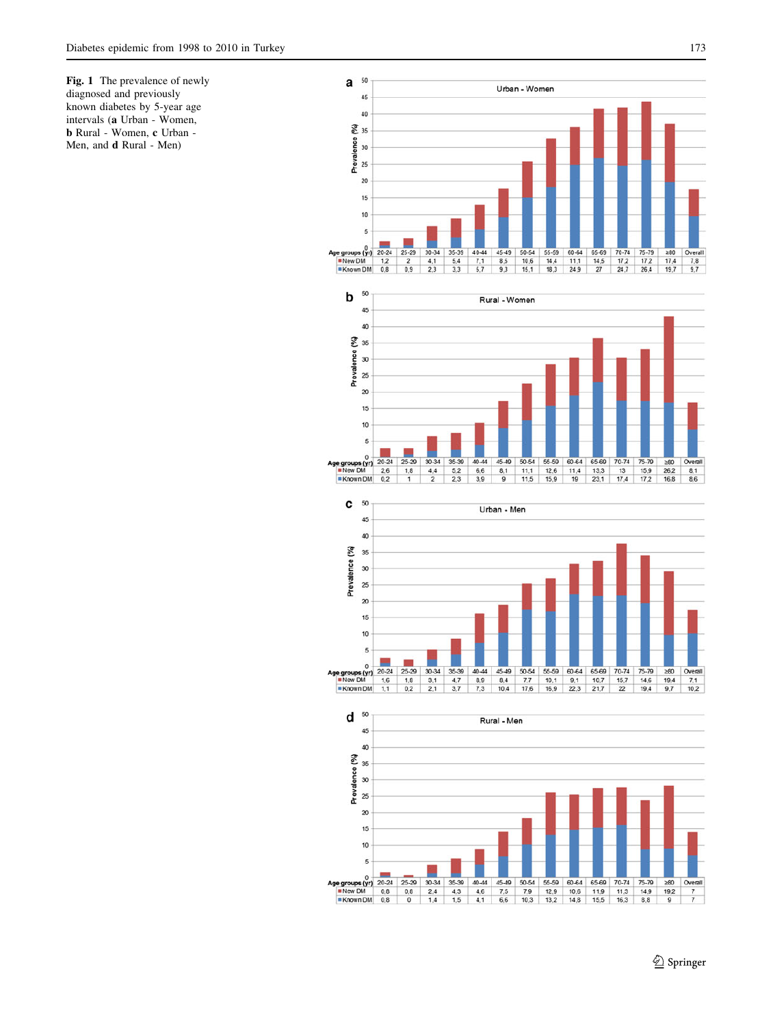<span id="page-4-0"></span>

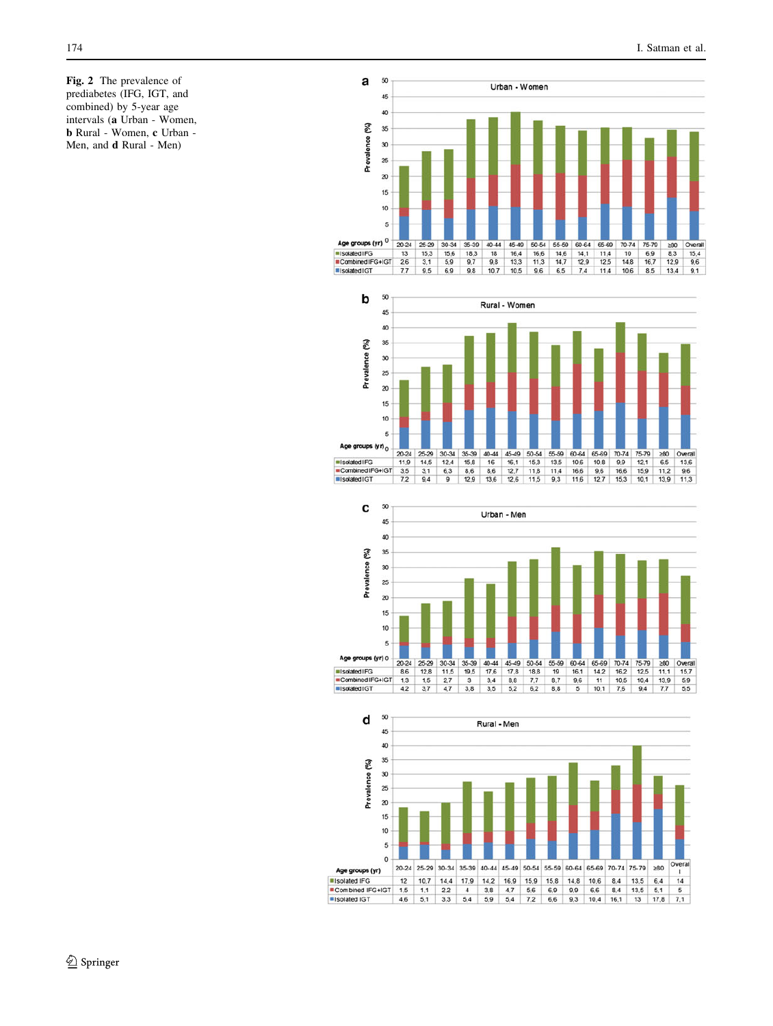<span id="page-5-0"></span>Fig. 2 The prevalence of prediabetes (IFG, IGT, and combined) by 5-year age intervals (a Urban - Women, b Rural - Women, c Urban - Men, and d Rural - Men)







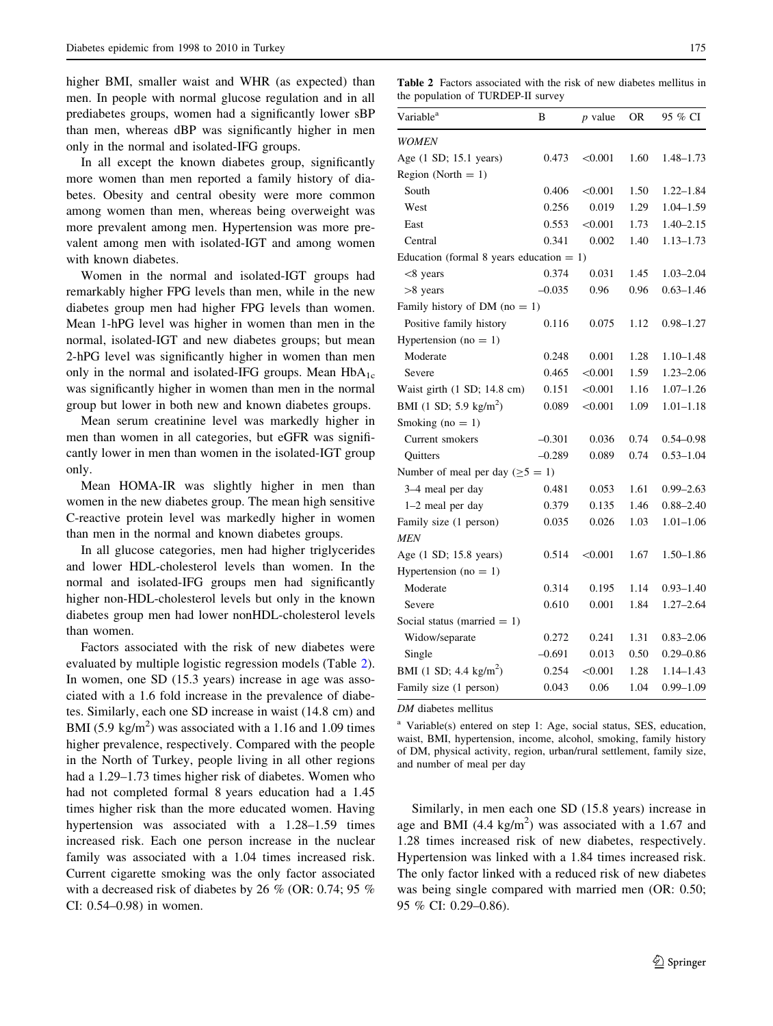<span id="page-6-0"></span>higher BMI, smaller waist and WHR (as expected) than men. In people with normal glucose regulation and in all prediabetes groups, women had a significantly lower sBP than men, whereas dBP was significantly higher in men only in the normal and isolated-IFG groups.

In all except the known diabetes group, significantly more women than men reported a family history of diabetes. Obesity and central obesity were more common among women than men, whereas being overweight was more prevalent among men. Hypertension was more prevalent among men with isolated-IGT and among women with known diabetes.

Women in the normal and isolated-IGT groups had remarkably higher FPG levels than men, while in the new diabetes group men had higher FPG levels than women. Mean 1-hPG level was higher in women than men in the normal, isolated-IGT and new diabetes groups; but mean 2-hPG level was significantly higher in women than men only in the normal and isolated-IFG groups. Mean  $HbA_{1c}$ was significantly higher in women than men in the normal group but lower in both new and known diabetes groups.

Mean serum creatinine level was markedly higher in men than women in all categories, but eGFR was significantly lower in men than women in the isolated-IGT group only.

Mean HOMA-IR was slightly higher in men than women in the new diabetes group. The mean high sensitive C-reactive protein level was markedly higher in women than men in the normal and known diabetes groups.

In all glucose categories, men had higher triglycerides and lower HDL-cholesterol levels than women. In the normal and isolated-IFG groups men had significantly higher non-HDL-cholesterol levels but only in the known diabetes group men had lower nonHDL-cholesterol levels than women.

Factors associated with the risk of new diabetes were evaluated by multiple logistic regression models (Table 2). In women, one SD (15.3 years) increase in age was associated with a 1.6 fold increase in the prevalence of diabetes. Similarly, each one SD increase in waist (14.8 cm) and BMI (5.9 kg/m<sup>2</sup>) was associated with a 1.16 and 1.09 times higher prevalence, respectively. Compared with the people in the North of Turkey, people living in all other regions had a 1.29–1.73 times higher risk of diabetes. Women who had not completed formal 8 years education had a 1.45 times higher risk than the more educated women. Having hypertension was associated with a 1.28–1.59 times increased risk. Each one person increase in the nuclear family was associated with a 1.04 times increased risk. Current cigarette smoking was the only factor associated with a decreased risk of diabetes by 26 % (OR: 0.74; 95 % CI: 0.54–0.98) in women.

Table 2 Factors associated with the risk of new diabetes mellitus in the population of TURDEP-II survey

| Variable <sup>a</sup>                       | В        | $p$ value | OR   | 95 % CI       |
|---------------------------------------------|----------|-----------|------|---------------|
| <b>WOMEN</b>                                |          |           |      |               |
| Age (1 SD; 15.1 years)                      | 0.473    | < 0.001   | 1.60 | 1.48-1.73     |
| Region (North $= 1$ )                       |          |           |      |               |
| South                                       | 0.406    | < 0.001   | 1.50 | 1.22-1.84     |
| West                                        | 0.256    | 0.019     | 1.29 | $1.04 - 1.59$ |
| East                                        | 0.553    | < 0.001   | 1.73 | $1.40 - 2.15$ |
| Central                                     | 0.341    | 0.002     | 1.40 | $1.13 - 1.73$ |
| Education (formal 8 years education $= 1$ ) |          |           |      |               |
| $<8$ years                                  | 0.374    | 0.031     | 1.45 | 1.03-2.04     |
| $>8$ years                                  | $-0.035$ | 0.96      | 0.96 | $0.63 - 1.46$ |
| Family history of DM ( $no = 1$ )           |          |           |      |               |
| Positive family history                     | 0.116    | 0.075     | 1.12 | $0.98 - 1.27$ |
| Hypertension (no $= 1$ )                    |          |           |      |               |
| Moderate                                    | 0.248    | 0.001     | 1.28 | $1.10 - 1.48$ |
| Severe                                      | 0.465    | < 0.001   | 1.59 | 1.23-2.06     |
| Waist girth (1 SD; 14.8 cm)                 | 0.151    | < 0.001   | 1.16 | $1.07 - 1.26$ |
| BMI (1 SD; 5.9 kg/m <sup>2</sup> )          | 0.089    | < 0.001   | 1.09 | $1.01 - 1.18$ |
| Smoking (no $= 1$ )                         |          |           |      |               |
| Current smokers                             | $-0.301$ | 0.036     | 0.74 | $0.54 - 0.98$ |
| Quitters                                    | $-0.289$ | 0.089     | 0.74 | $0.53 - 1.04$ |
| Number of meal per day ( $\geq 5 = 1$ )     |          |           |      |               |
| 3-4 meal per day                            | 0.481    | 0.053     | 1.61 | $0.99 - 2.63$ |
| $1-2$ meal per day                          | 0.379    | 0.135     | 1.46 | $0.88 - 2.40$ |
| Family size (1 person)                      | 0.035    | 0.026     | 1.03 | $1.01 - 1.06$ |
| MEN                                         |          |           |      |               |
| Age (1 SD; 15.8 years)                      | 0.514    | < 0.001   | 1.67 | 1.50–1.86     |
| Hypertension (no = 1)                       |          |           |      |               |
| Moderate                                    | 0.314    | 0.195     | 1.14 | $0.93 - 1.40$ |
| Severe                                      | 0.610    | 0.001     | 1.84 | $1.27 - 2.64$ |
| Social status (married $= 1$ )              |          |           |      |               |
| Widow/separate                              | 0.272    | 0.241     | 1.31 | $0.83 - 2.06$ |
| Single                                      | $-0.691$ | 0.013     | 0.50 | $0.29 - 0.86$ |
| BMI (1 SD; 4.4 kg/m <sup>2</sup> )          | 0.254    | < 0.001   | 1.28 | $1.14 - 1.43$ |
| Family size (1 person)                      | 0.043    | 0.06      | 1.04 | $0.99 - 1.09$ |

DM diabetes mellitus

<sup>a</sup> Variable(s) entered on step 1: Age, social status, SES, education, waist, BMI, hypertension, income, alcohol, smoking, family history of DM, physical activity, region, urban/rural settlement, family size, and number of meal per day

Similarly, in men each one SD (15.8 years) increase in age and BMI  $(4.4 \text{ kg/m}^2)$  was associated with a 1.67 and 1.28 times increased risk of new diabetes, respectively. Hypertension was linked with a 1.84 times increased risk. The only factor linked with a reduced risk of new diabetes was being single compared with married men (OR: 0.50; 95 % CI: 0.29–0.86).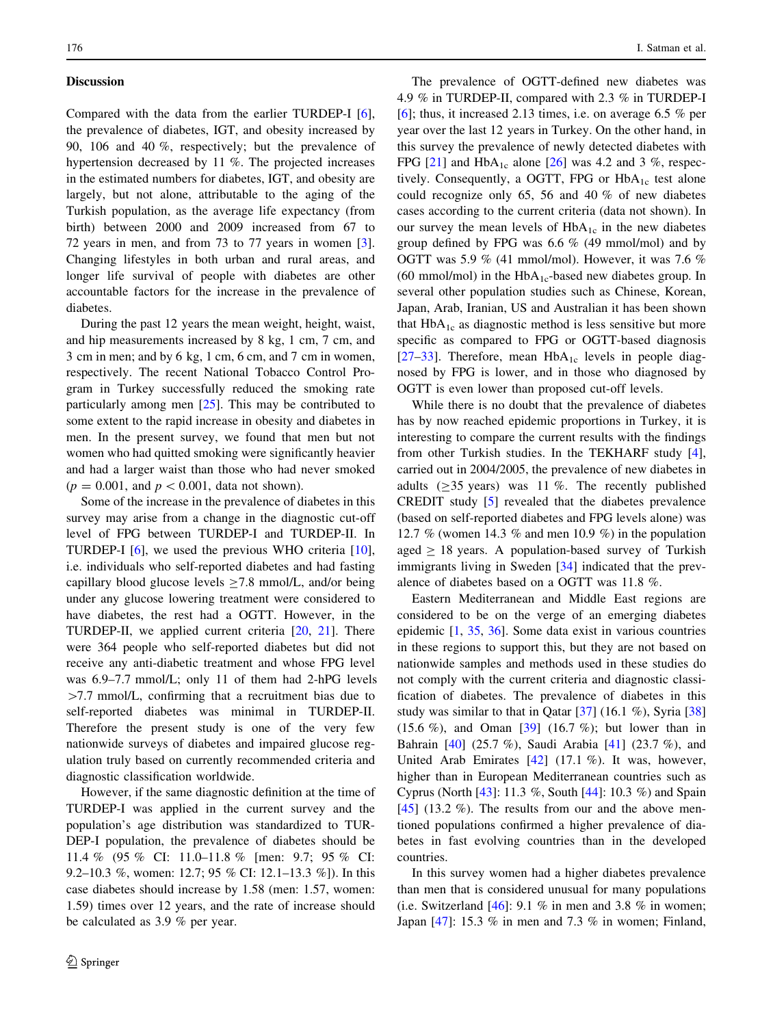## Discussion

Compared with the data from the earlier TURDEP-I [\[6](#page-9-0)], the prevalence of diabetes, IGT, and obesity increased by 90, 106 and 40 %, respectively; but the prevalence of hypertension decreased by 11 %. The projected increases in the estimated numbers for diabetes, IGT, and obesity are largely, but not alone, attributable to the aging of the Turkish population, as the average life expectancy (from birth) between 2000 and 2009 increased from 67 to 72 years in men, and from 73 to 77 years in women [\[3](#page-9-0)]. Changing lifestyles in both urban and rural areas, and longer life survival of people with diabetes are other accountable factors for the increase in the prevalence of diabetes.

During the past 12 years the mean weight, height, waist, and hip measurements increased by 8 kg, 1 cm, 7 cm, and 3 cm in men; and by 6 kg, 1 cm, 6 cm, and 7 cm in women, respectively. The recent National Tobacco Control Program in Turkey successfully reduced the smoking rate particularly among men [\[25](#page-10-0)]. This may be contributed to some extent to the rapid increase in obesity and diabetes in men. In the present survey, we found that men but not women who had quitted smoking were significantly heavier and had a larger waist than those who had never smoked  $(p = 0.001, \text{ and } p < 0.001, \text{ data not shown}).$ 

Some of the increase in the prevalence of diabetes in this survey may arise from a change in the diagnostic cut-off level of FPG between TURDEP-I and TURDEP-II. In TURDEP-I [[6\]](#page-9-0), we used the previous WHO criteria [\[10](#page-9-0)], i.e. individuals who self-reported diabetes and had fasting capillary blood glucose levels  $\geq$ 7.8 mmol/L, and/or being under any glucose lowering treatment were considered to have diabetes, the rest had a OGTT. However, in the TURDEP-II, we applied current criteria [[20,](#page-10-0) [21](#page-10-0)]. There were 364 people who self-reported diabetes but did not receive any anti-diabetic treatment and whose FPG level was 6.9–7.7 mmol/L; only 11 of them had 2-hPG levels  $>7.7$  mmol/L, confirming that a recruitment bias due to self-reported diabetes was minimal in TURDEP-II. Therefore the present study is one of the very few nationwide surveys of diabetes and impaired glucose regulation truly based on currently recommended criteria and diagnostic classification worldwide.

However, if the same diagnostic definition at the time of TURDEP-I was applied in the current survey and the population's age distribution was standardized to TUR-DEP-I population, the prevalence of diabetes should be 11.4 % (95 % CI: 11.0–11.8 % [men: 9.7; 95 % CI: 9.2–10.3 %, women: 12.7; 95 % CI: 12.1–13.3 %]). In this case diabetes should increase by 1.58 (men: 1.57, women: 1.59) times over 12 years, and the rate of increase should be calculated as 3.9 % per year.

The prevalence of OGTT-defined new diabetes was 4.9 % in TURDEP-II, compared with 2.3 % in TURDEP-I [\[6](#page-9-0)]; thus, it increased 2.13 times, i.e. on average 6.5  $\%$  per year over the last 12 years in Turkey. On the other hand, in this survey the prevalence of newly detected diabetes with FPG  $[21]$  $[21]$  $[21]$  and HbA<sub>1c</sub> alone  $[26]$  $[26]$  was 4.2 and 3 %, respectively. Consequently, a OGTT, FPG or  $HbA_{1c}$  test alone could recognize only 65, 56 and 40 % of new diabetes cases according to the current criteria (data not shown). In our survey the mean levels of  $HbA_{1c}$  in the new diabetes group defined by FPG was 6.6 % (49 mmol/mol) and by OGTT was 5.9 % (41 mmol/mol). However, it was 7.6 % (60 mmol/mol) in the  $HbA_{1c}$ -based new diabetes group. In several other population studies such as Chinese, Korean, Japan, Arab, Iranian, US and Australian it has been shown that  $HbA_{1c}$  as diagnostic method is less sensitive but more specific as compared to FPG or OGTT-based diagnosis [\[27–33](#page-10-0)]. Therefore, mean  $HbA_{1c}$  levels in people diagnosed by FPG is lower, and in those who diagnosed by OGTT is even lower than proposed cut-off levels.

While there is no doubt that the prevalence of diabetes has by now reached epidemic proportions in Turkey, it is interesting to compare the current results with the findings from other Turkish studies. In the TEKHARF study [\[4](#page-9-0)], carried out in 2004/2005, the prevalence of new diabetes in adults ( $\geq$ 35 years) was 11 %. The recently published CREDIT study [\[5](#page-9-0)] revealed that the diabetes prevalence (based on self-reported diabetes and FPG levels alone) was 12.7 % (women 14.3 % and men 10.9 %) in the population aged  $> 18$  years. A population-based survey of Turkish immigrants living in Sweden [[34\]](#page-10-0) indicated that the prevalence of diabetes based on a OGTT was 11.8 %.

Eastern Mediterranean and Middle East regions are considered to be on the verge of an emerging diabetes epidemic [[1,](#page-9-0) [35](#page-10-0), [36](#page-10-0)]. Some data exist in various countries in these regions to support this, but they are not based on nationwide samples and methods used in these studies do not comply with the current criteria and diagnostic classification of diabetes. The prevalence of diabetes in this study was similar to that in Qatar  $[37]$  $[37]$  (16.1 %), Syria  $[38]$  $[38]$ (15.6 %), and Oman [[39\]](#page-10-0) (16.7 %); but lower than in Bahrain [[40\]](#page-10-0) (25.7 %), Saudi Arabia [\[41](#page-10-0)] (23.7 %), and United Arab Emirates [\[42](#page-10-0)] (17.1 %). It was, however, higher than in European Mediterranean countries such as Cyprus (North [[43\]](#page-10-0): 11.3 %, South [\[44](#page-10-0)]: 10.3 %) and Spain  $[45]$  $[45]$  (13.2 %). The results from our and the above mentioned populations confirmed a higher prevalence of diabetes in fast evolving countries than in the developed countries.

In this survey women had a higher diabetes prevalence than men that is considered unusual for many populations (i.e. Switzerland  $[46]$ : 9.1 % in men and 3.8 % in women; Japan [[47\]](#page-10-0): 15.3 % in men and 7.3 % in women; Finland,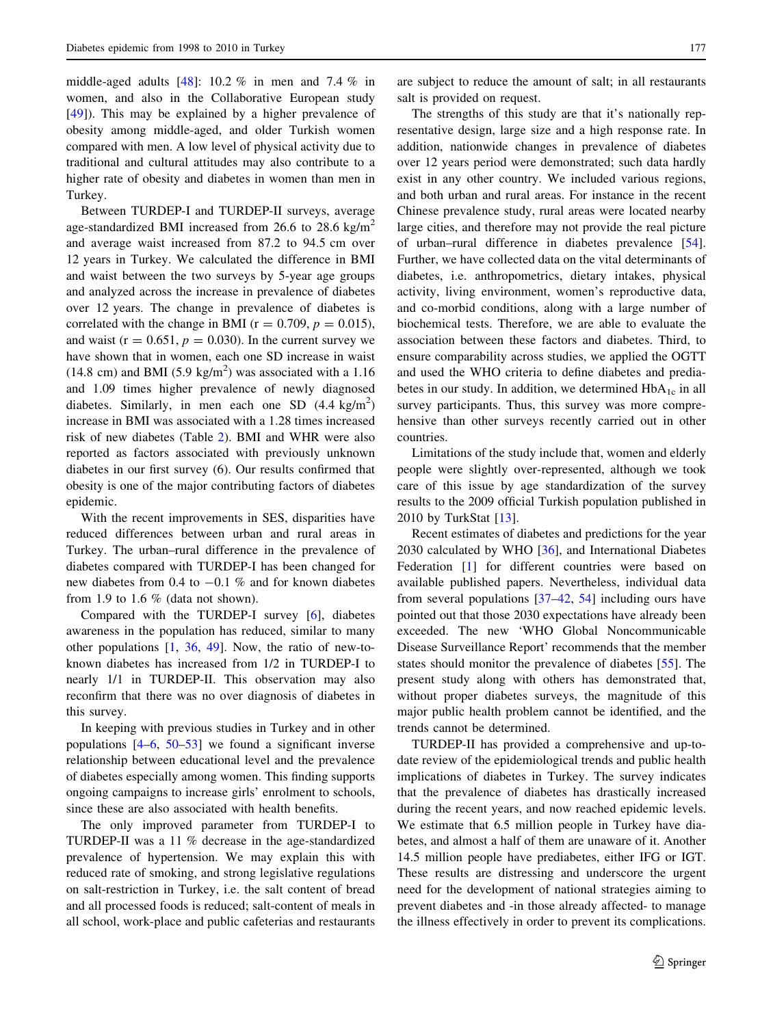middle-aged adults [\[48](#page-11-0)]: 10.2 % in men and 7.4 % in women, and also in the Collaborative European study [\[49](#page-11-0)]). This may be explained by a higher prevalence of obesity among middle-aged, and older Turkish women compared with men. A low level of physical activity due to traditional and cultural attitudes may also contribute to a higher rate of obesity and diabetes in women than men in Turkey.

Between TURDEP-I and TURDEP-II surveys, average age-standardized BMI increased from 26.6 to 28.6 kg/m<sup>2</sup> and average waist increased from 87.2 to 94.5 cm over 12 years in Turkey. We calculated the difference in BMI and waist between the two surveys by 5-year age groups and analyzed across the increase in prevalence of diabetes over 12 years. The change in prevalence of diabetes is correlated with the change in BMI ( $r = 0.709$ ,  $p = 0.015$ ), and waist ( $r = 0.651$ ,  $p = 0.030$ ). In the current survey we have shown that in women, each one SD increase in waist  $(14.8 \text{ cm})$  and BMI  $(5.9 \text{ kg/m}^2)$  was associated with a 1.16 and 1.09 times higher prevalence of newly diagnosed diabetes. Similarly, in men each one SD  $(4.4 \text{ kg/m}^2)$ increase in BMI was associated with a 1.28 times increased risk of new diabetes (Table [2\)](#page-6-0). BMI and WHR were also reported as factors associated with previously unknown diabetes in our first survey (6). Our results confirmed that obesity is one of the major contributing factors of diabetes epidemic.

With the recent improvements in SES, disparities have reduced differences between urban and rural areas in Turkey. The urban–rural difference in the prevalence of diabetes compared with TURDEP-I has been changed for new diabetes from 0.4 to  $-0.1$  % and for known diabetes from 1.9 to 1.6  $%$  (data not shown).

Compared with the TURDEP-I survey [\[6](#page-9-0)], diabetes awareness in the population has reduced, similar to many other populations [\[1](#page-9-0), [36](#page-10-0), [49](#page-11-0)]. Now, the ratio of new-toknown diabetes has increased from 1/2 in TURDEP-I to nearly 1/1 in TURDEP-II. This observation may also reconfirm that there was no over diagnosis of diabetes in this survey.

In keeping with previous studies in Turkey and in other populations  $[4-6, 50-53]$  we found a significant inverse relationship between educational level and the prevalence of diabetes especially among women. This finding supports ongoing campaigns to increase girls' enrolment to schools, since these are also associated with health benefits.

The only improved parameter from TURDEP-I to TURDEP-II was a 11 % decrease in the age-standardized prevalence of hypertension. We may explain this with reduced rate of smoking, and strong legislative regulations on salt-restriction in Turkey, i.e. the salt content of bread and all processed foods is reduced; salt-content of meals in all school, work-place and public cafeterias and restaurants

are subject to reduce the amount of salt; in all restaurants salt is provided on request.

The strengths of this study are that it's nationally representative design, large size and a high response rate. In addition, nationwide changes in prevalence of diabetes over 12 years period were demonstrated; such data hardly exist in any other country. We included various regions, and both urban and rural areas. For instance in the recent Chinese prevalence study, rural areas were located nearby large cities, and therefore may not provide the real picture of urban–rural difference in diabetes prevalence [\[54](#page-11-0)]. Further, we have collected data on the vital determinants of diabetes, i.e. anthropometrics, dietary intakes, physical activity, living environment, women's reproductive data, and co-morbid conditions, along with a large number of biochemical tests. Therefore, we are able to evaluate the association between these factors and diabetes. Third, to ensure comparability across studies, we applied the OGTT and used the WHO criteria to define diabetes and prediabetes in our study. In addition, we determined  $HbA_{1c}$  in all survey participants. Thus, this survey was more comprehensive than other surveys recently carried out in other countries.

Limitations of the study include that, women and elderly people were slightly over-represented, although we took care of this issue by age standardization of the survey results to the 2009 official Turkish population published in 2010 by TurkStat [\[13](#page-10-0)].

Recent estimates of diabetes and predictions for the year 2030 calculated by WHO [[36\]](#page-10-0), and International Diabetes Federation [\[1](#page-9-0)] for different countries were based on available published papers. Nevertheless, individual data from several populations [[37–42,](#page-10-0) [54](#page-11-0)] including ours have pointed out that those 2030 expectations have already been exceeded. The new 'WHO Global Noncommunicable Disease Surveillance Report' recommends that the member states should monitor the prevalence of diabetes [[55\]](#page-11-0). The present study along with others has demonstrated that, without proper diabetes surveys, the magnitude of this major public health problem cannot be identified, and the trends cannot be determined.

TURDEP-II has provided a comprehensive and up-todate review of the epidemiological trends and public health implications of diabetes in Turkey. The survey indicates that the prevalence of diabetes has drastically increased during the recent years, and now reached epidemic levels. We estimate that 6.5 million people in Turkey have diabetes, and almost a half of them are unaware of it. Another 14.5 million people have prediabetes, either IFG or IGT. These results are distressing and underscore the urgent need for the development of national strategies aiming to prevent diabetes and -in those already affected- to manage the illness effectively in order to prevent its complications.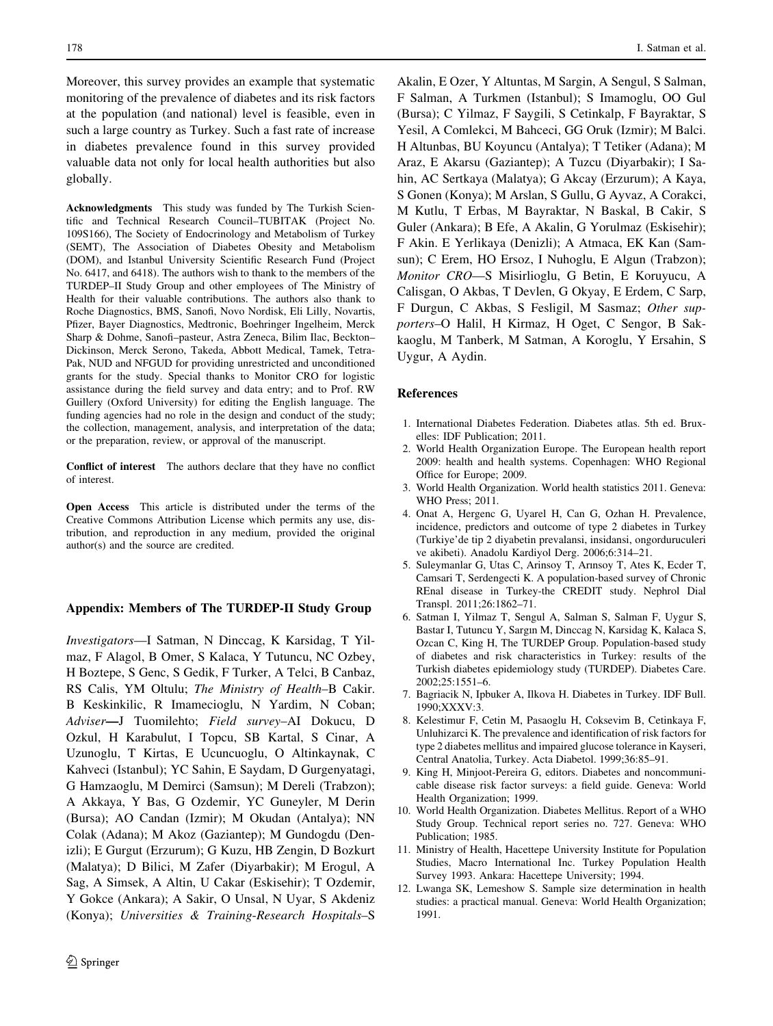<span id="page-9-0"></span>Moreover, this survey provides an example that systematic monitoring of the prevalence of diabetes and its risk factors at the population (and national) level is feasible, even in such a large country as Turkey. Such a fast rate of increase in diabetes prevalence found in this survey provided valuable data not only for local health authorities but also globally.

Acknowledgments This study was funded by The Turkish Scientific and Technical Research Council–TUBITAK (Project No. 109S166), The Society of Endocrinology and Metabolism of Turkey (SEMT), The Association of Diabetes Obesity and Metabolism (DOM), and Istanbul University Scientific Research Fund (Project No. 6417, and 6418). The authors wish to thank to the members of the TURDEP–II Study Group and other employees of The Ministry of Health for their valuable contributions. The authors also thank to Roche Diagnostics, BMS, Sanofi, Novo Nordisk, Eli Lilly, Novartis, Pfizer, Bayer Diagnostics, Medtronic, Boehringer Ingelheim, Merck Sharp & Dohme, Sanofi–pasteur, Astra Zeneca, Bilim Ilac, Beckton– Dickinson, Merck Serono, Takeda, Abbott Medical, Tamek, Tetra-Pak, NUD and NFGUD for providing unrestricted and unconditioned grants for the study. Special thanks to Monitor CRO for logistic assistance during the field survey and data entry; and to Prof. RW Guillery (Oxford University) for editing the English language. The funding agencies had no role in the design and conduct of the study; the collection, management, analysis, and interpretation of the data; or the preparation, review, or approval of the manuscript.

Conflict of interest The authors declare that they have no conflict of interest.

Open Access This article is distributed under the terms of the Creative Commons Attribution License which permits any use, distribution, and reproduction in any medium, provided the original author(s) and the source are credited.

## Appendix: Members of The TURDEP-II Study Group

Investigators—I Satman, N Dinccag, K Karsidag, T Yilmaz, F Alagol, B Omer, S Kalaca, Y Tutuncu, NC Ozbey, H Boztepe, S Genc, S Gedik, F Turker, A Telci, B Canbaz, RS Calis, YM Oltulu; The Ministry of Health–B Cakir. B Keskinkilic, R Imamecioglu, N Yardim, N Coban; Adviser—J Tuomilehto; Field survey–AI Dokucu, D Ozkul, H Karabulut, I Topcu, SB Kartal, S Cinar, A Uzunoglu, T Kirtas, E Ucuncuoglu, O Altinkaynak, C Kahveci (Istanbul); YC Sahin, E Saydam, D Gurgenyatagi, G Hamzaoglu, M Demirci (Samsun); M Dereli (Trabzon); A Akkaya, Y Bas, G Ozdemir, YC Guneyler, M Derin (Bursa); AO Candan (Izmir); M Okudan (Antalya); NN Colak (Adana); M Akoz (Gaziantep); M Gundogdu (Denizli); E Gurgut (Erzurum); G Kuzu, HB Zengin, D Bozkurt (Malatya); D Bilici, M Zafer (Diyarbakir); M Erogul, A Sag, A Simsek, A Altin, U Cakar (Eskisehir); T Ozdemir, Y Gokce (Ankara); A Sakir, O Unsal, N Uyar, S Akdeniz (Konya); Universities & Training-Research Hospitals–S Akalin, E Ozer, Y Altuntas, M Sargin, A Sengul, S Salman, F Salman, A Turkmen (Istanbul); S Imamoglu, OO Gul (Bursa); C Yilmaz, F Saygili, S Cetinkalp, F Bayraktar, S Yesil, A Comlekci, M Bahceci, GG Oruk (Izmir); M Balci. H Altunbas, BU Koyuncu (Antalya); T Tetiker (Adana); M Araz, E Akarsu (Gaziantep); A Tuzcu (Diyarbakir); I Sahin, AC Sertkaya (Malatya); G Akcay (Erzurum); A Kaya, S Gonen (Konya); M Arslan, S Gullu, G Ayvaz, A Corakci, M Kutlu, T Erbas, M Bayraktar, N Baskal, B Cakir, S Guler (Ankara); B Efe, A Akalin, G Yorulmaz (Eskisehir); F Akin. E Yerlikaya (Denizli); A Atmaca, EK Kan (Samsun); C Erem, HO Ersoz, I Nuhoglu, E Algun (Trabzon); Monitor CRO—S Misirlioglu, G Betin, E Koruyucu, A Calisgan, O Akbas, T Devlen, G Okyay, E Erdem, C Sarp, F Durgun, C Akbas, S Fesligil, M Sasmaz; Other supporters–O Halil, H Kirmaz, H Oget, C Sengor, B Sakkaoglu, M Tanberk, M Satman, A Koroglu, Y Ersahin, S Uygur, A Aydin.

## References

- 1. International Diabetes Federation. Diabetes atlas. 5th ed. Bruxelles: IDF Publication; 2011.
- 2. World Health Organization Europe. The European health report 2009: health and health systems. Copenhagen: WHO Regional Office for Europe; 2009.
- 3. World Health Organization. World health statistics 2011. Geneva: WHO Press; 2011.
- 4. Onat A, Hergenc G, Uyarel H, Can G, Ozhan H. Prevalence, incidence, predictors and outcome of type 2 diabetes in Turkey (Turkiye'de tip 2 diyabetin prevalansi, insidansi, ongorduruculeri ve akibeti). Anadolu Kardiyol Derg. 2006;6:314–21.
- 5. Suleymanlar G, Utas C, Arinsoy T, Arınsoy T, Ates K, Ecder T, Camsari T, Serdengecti K. A population-based survey of Chronic REnal disease in Turkey-the CREDIT study. Nephrol Dial Transpl. 2011;26:1862–71.
- 6. Satman I, Yilmaz T, Sengul A, Salman S, Salman F, Uygur S, Bastar I, Tutuncu Y, Sargın M, Dinccag N, Karsidag K, Kalaca S, Ozcan C, King H, The TURDEP Group. Population-based study of diabetes and risk characteristics in Turkey: results of the Turkish diabetes epidemiology study (TURDEP). Diabetes Care. 2002;25:1551–6.
- 7. Bagriacik N, Ipbuker A, Ilkova H. Diabetes in Turkey. IDF Bull. 1990;XXXV:3.
- 8. Kelestimur F, Cetin M, Pasaoglu H, Coksevim B, Cetinkaya F, Unluhizarci K. The prevalence and identification of risk factors for type 2 diabetes mellitus and impaired glucose tolerance in Kayseri, Central Anatolia, Turkey. Acta Diabetol. 1999;36:85–91.
- 9. King H, Minjoot-Pereira G, editors. Diabetes and noncommunicable disease risk factor surveys: a field guide. Geneva: World Health Organization; 1999.
- 10. World Health Organization. Diabetes Mellitus. Report of a WHO Study Group. Technical report series no. 727. Geneva: WHO Publication; 1985.
- 11. Ministry of Health, Hacettepe University Institute for Population Studies, Macro International Inc. Turkey Population Health Survey 1993. Ankara: Hacettepe University; 1994.
- 12. Lwanga SK, Lemeshow S. Sample size determination in health studies: a practical manual. Geneva: World Health Organization; 1991.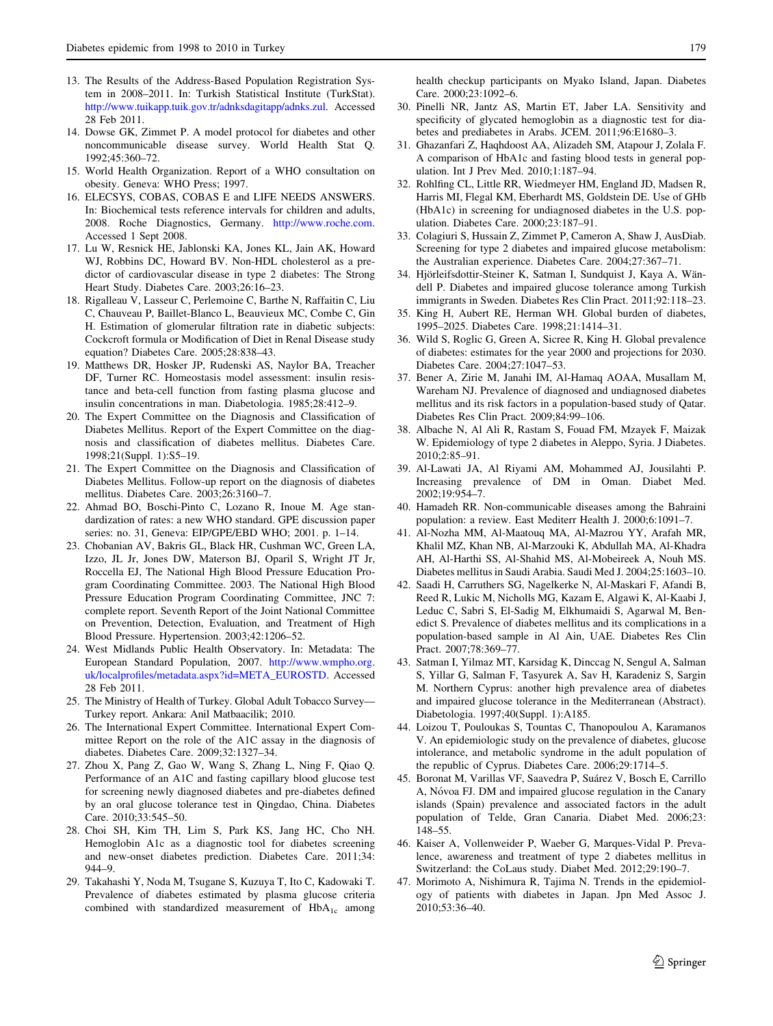- <span id="page-10-0"></span>13. The Results of the Address-Based Population Registration System in 2008–2011. In: Turkish Statistical Institute (TurkStat). [http://www.tuikapp.tuik.gov.tr/adnksdagitapp/adnks.zul.](http://www.tuikapp.tuik.gov.tr/adnksdagitapp/adnks.zul) Accessed 28 Feb 2011.
- 14. Dowse GK, Zimmet P. A model protocol for diabetes and other noncommunicable disease survey. World Health Stat Q. 1992;45:360–72.
- 15. World Health Organization. Report of a WHO consultation on obesity. Geneva: WHO Press; 1997.
- 16. ELECSYS, COBAS, COBAS E and LIFE NEEDS ANSWERS. In: Biochemical tests reference intervals for children and adults, 2008. Roche Diagnostics, Germany. <http://www.roche.com>. Accessed 1 Sept 2008.
- 17. Lu W, Resnick HE, Jablonski KA, Jones KL, Jain AK, Howard WJ, Robbins DC, Howard BV. Non-HDL cholesterol as a predictor of cardiovascular disease in type 2 diabetes: The Strong Heart Study. Diabetes Care. 2003;26:16–23.
- 18. Rigalleau V, Lasseur C, Perlemoine C, Barthe N, Raffaitin C, Liu C, Chauveau P, Baillet-Blanco L, Beauvieux MC, Combe C, Gin H. Estimation of glomerular filtration rate in diabetic subjects: Cockcroft formula or Modification of Diet in Renal Disease study equation? Diabetes Care. 2005;28:838–43.
- 19. Matthews DR, Hosker JP, Rudenski AS, Naylor BA, Treacher DF, Turner RC. Homeostasis model assessment: insulin resistance and beta-cell function from fasting plasma glucose and insulin concentrations in man. Diabetologia. 1985;28:412–9.
- 20. The Expert Committee on the Diagnosis and Classification of Diabetes Mellitus. Report of the Expert Committee on the diagnosis and classification of diabetes mellitus. Diabetes Care. 1998;21(Suppl. 1):S5–19.
- 21. The Expert Committee on the Diagnosis and Classification of Diabetes Mellitus. Follow-up report on the diagnosis of diabetes mellitus. Diabetes Care. 2003;26:3160–7.
- 22. Ahmad BO, Boschi-Pinto C, Lozano R, Inoue M. Age standardization of rates: a new WHO standard. GPE discussion paper series: no. 31, Geneva: EIP/GPE/EBD WHO; 2001. p. 1–14.
- 23. Chobanian AV, Bakris GL, Black HR, Cushman WC, Green LA, Izzo, JL Jr, Jones DW, Materson BJ, Oparil S, Wright JT Jr, Roccella EJ, The National High Blood Pressure Education Program Coordinating Committee. 2003. The National High Blood Pressure Education Program Coordinating Committee, JNC 7: complete report. Seventh Report of the Joint National Committee on Prevention, Detection, Evaluation, and Treatment of High Blood Pressure. Hypertension. 2003;42:1206–52.
- 24. West Midlands Public Health Observatory. In: Metadata: The European Standard Population, 2007. [http://www.wmpho.org.](http://www.wmpho.org.uk/localprofiles/metadata.aspx?id=META_EUROSTD) [uk/localprofiles/metadata.aspx?id=META\\_EUROSTD.](http://www.wmpho.org.uk/localprofiles/metadata.aspx?id=META_EUROSTD) Accessed 28 Feb 2011.
- 25. The Ministry of Health of Turkey. Global Adult Tobacco Survey— Turkey report. Ankara: Anil Matbaacilik; 2010.
- 26. The International Expert Committee. International Expert Committee Report on the role of the A1C assay in the diagnosis of diabetes. Diabetes Care. 2009;32:1327–34.
- 27. Zhou X, Pang Z, Gao W, Wang S, Zhang L, Ning F, Qiao Q. Performance of an A1C and fasting capillary blood glucose test for screening newly diagnosed diabetes and pre-diabetes defined by an oral glucose tolerance test in Qingdao, China. Diabetes Care. 2010;33:545–50.
- 28. Choi SH, Kim TH, Lim S, Park KS, Jang HC, Cho NH. Hemoglobin A1c as a diagnostic tool for diabetes screening and new-onset diabetes prediction. Diabetes Care. 2011;34: 944–9.
- 29. Takahashi Y, Noda M, Tsugane S, Kuzuya T, Ito C, Kadowaki T. Prevalence of diabetes estimated by plasma glucose criteria combined with standardized measurement of  $HbA_{1c}$  among

health checkup participants on Myako Island, Japan. Diabetes Care. 2000;23:1092–6.

- 30. Pinelli NR, Jantz AS, Martin ET, Jaber LA. Sensitivity and specificity of glycated hemoglobin as a diagnostic test for diabetes and prediabetes in Arabs. JCEM. 2011;96:E1680–3.
- 31. Ghazanfari Z, Haqhdoost AA, Alizadeh SM, Atapour J, Zolala F. A comparison of HbA1c and fasting blood tests in general population. Int J Prev Med. 2010;1:187–94.
- 32. Rohlfing CL, Little RR, Wiedmeyer HM, England JD, Madsen R, Harris MI, Flegal KM, Eberhardt MS, Goldstein DE. Use of GHb (HbA1c) in screening for undiagnosed diabetes in the U.S. population. Diabetes Care. 2000;23:187–91.
- 33. Colagiuri S, Hussain Z, Zimmet P, Cameron A, Shaw J, AusDiab. Screening for type 2 diabetes and impaired glucose metabolism: the Australian experience. Diabetes Care. 2004;27:367–71.
- 34. Hjörleifsdottir-Steiner K, Satman I, Sundquist J, Kaya A, Wändell P. Diabetes and impaired glucose tolerance among Turkish immigrants in Sweden. Diabetes Res Clin Pract. 2011;92:118–23.
- 35. King H, Aubert RE, Herman WH. Global burden of diabetes, 1995–2025. Diabetes Care. 1998;21:1414–31.
- 36. Wild S, Roglic G, Green A, Sicree R, King H. Global prevalence of diabetes: estimates for the year 2000 and projections for 2030. Diabetes Care. 2004;27:1047–53.
- 37. Bener A, Zirie M, Janahi IM, Al-Hamaq AOAA, Musallam M, Wareham NJ. Prevalence of diagnosed and undiagnosed diabetes mellitus and its risk factors in a population-based study of Qatar. Diabetes Res Clin Pract. 2009;84:99–106.
- 38. Albache N, Al Ali R, Rastam S, Fouad FM, Mzayek F, Maizak W. Epidemiology of type 2 diabetes in Aleppo, Syria. J Diabetes. 2010;2:85–91.
- 39. Al-Lawati JA, Al Riyami AM, Mohammed AJ, Jousilahti P. Increasing prevalence of DM in Oman. Diabet Med. 2002;19:954–7.
- 40. Hamadeh RR. Non-communicable diseases among the Bahraini population: a review. East Mediterr Health J. 2000;6:1091–7.
- 41. Al-Nozha MM, Al-Maatouq MA, Al-Mazrou YY, Arafah MR, Khalil MZ, Khan NB, Al-Marzouki K, Abdullah MA, Al-Khadra AH, Al-Harthi SS, Al-Shahid MS, Al-Mobeireek A, Nouh MS. Diabetes mellitus in Saudi Arabia. Saudi Med J. 2004;25:1603–10.
- 42. Saadi H, Carruthers SG, Nagelkerke N, Al-Maskari F, Afandi B, Reed R, Lukic M, Nicholls MG, Kazam E, Algawi K, Al-Kaabi J, Leduc C, Sabri S, El-Sadig M, Elkhumaidi S, Agarwal M, Benedict S. Prevalence of diabetes mellitus and its complications in a population-based sample in Al Ain, UAE. Diabetes Res Clin Pract. 2007;78:369–77.
- 43. Satman I, Yilmaz MT, Karsidag K, Dinccag N, Sengul A, Salman S, Yillar G, Salman F, Tasyurek A, Sav H, Karadeniz S, Sargin M. Northern Cyprus: another high prevalence area of diabetes and impaired glucose tolerance in the Mediterranean (Abstract). Diabetologia. 1997;40(Suppl. 1):A185.
- 44. Loizou T, Pouloukas S, Tountas C, Thanopoulou A, Karamanos V. An epidemiologic study on the prevalence of diabetes, glucose intolerance, and metabolic syndrome in the adult population of the republic of Cyprus. Diabetes Care. 2006;29:1714–5.
- 45. Boronat M, Varillas VF, Saavedra P, Suárez V, Bosch E, Carrillo A, Nóvoa FJ. DM and impaired glucose regulation in the Canary islands (Spain) prevalence and associated factors in the adult population of Telde, Gran Canaria. Diabet Med. 2006;23: 148–55.
- 46. Kaiser A, Vollenweider P, Waeber G, Marques-Vidal P. Prevalence, awareness and treatment of type 2 diabetes mellitus in Switzerland: the CoLaus study. Diabet Med. 2012;29:190–7.
- 47. Morimoto A, Nishimura R, Tajima N. Trends in the epidemiology of patients with diabetes in Japan. Jpn Med Assoc J. 2010;53:36–40.